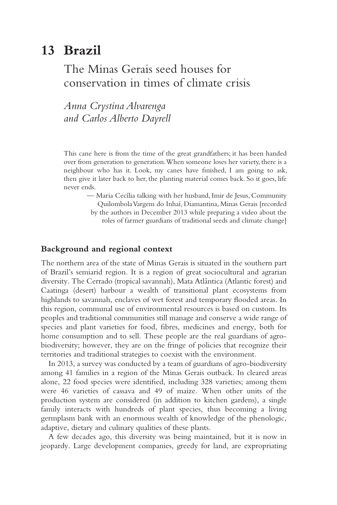# **13 Brazil**

# The Minas Gerais seed houses for conservation in times of climate crisis

*Anna Crystina Alvarenga and Carlos Alberto Dayrell* 

This cane here is from the time of the great grandfathers; it has been handed over from generation to generation. When someone loses her variety, there is a neighbour who has it. Look, my canes have finished, I am going to ask, then give it later back to her, the planting material comes back. So it goes, life never ends.

> *—* Maria Cecília talking with her husband, Imir de Jesus, Community Quilombola Vargem do Inhaí, Diamantina, Minas Gerais [recorded by the authors in December 2013 while preparing a video about the roles of farmer guardians of traditional seeds and climate change]

#### **Background and regional context**

The northern area of the state of Minas Gerais is situated in the southern part of Brazil's semiarid region. It is a region of great sociocultural and agrarian diversity. The Cerrado (tropical savannah), Mata Atlântica (Atlantic forest) and Caatinga (desert) harbour a wealth of transitional plant ecosystems from highlands to savannah, enclaves of wet forest and temporary flooded areas. In this region, communal use of environmental resources is based on custom. Its peoples and traditional communities still manage and conserve a wide range of species and plant varieties for food, fibres, medicines and energy, both for home consumption and to sell. These people are the real guardians of agrobiodiversity; however, they are on the fringe of policies that recognize their territories and traditional strategies to coexist with the environment.

In 2013, a survey was conducted by a team of guardians of agro-biodiversity among 41 families in a region of the Minas Gerais outback. In cleared areas alone, 22 food species were identified, including 328 varieties; among them were 46 varieties of cassava and 49 of maize. When other units of the production system are considered (in addition to kitchen gardens), a single family interacts with hundreds of plant species, thus becoming a living germplasm bank with an enormous wealth of knowledge of the phenologic, adaptive, dietary and culinary qualities of these plants.

A few decades ago, this diversity was being maintained, but it is now in jeopardy. Large development companies, greedy for land, are expropriating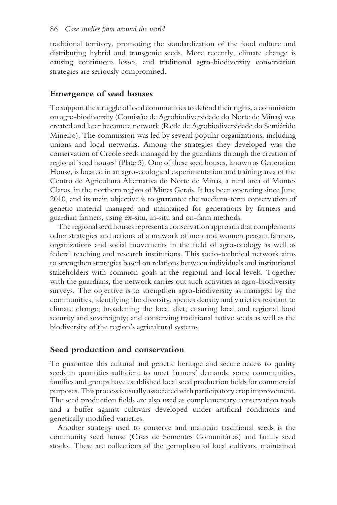traditional territory, promoting the standardization of the food culture and distributing hybrid and transgenic seeds. More recently, climate change is causing continuous losses, and traditional agro-biodiversity conservation strategies are seriously compromised.

## **Emergence of seed houses**

To support the struggle of local communities to defend their rights, a commission on agro-biodiversity (Comissão de Agrobiodiversidade do Norte de Minas) was created and later became a network (Rede de Agrobiodiversidade do Semiárido Mineiro). The commission was led by several popular organizations, including unions and local networks. Among the strategies they developed was the conservation of Creole seeds managed by the guardians through the creation of regional 'seed houses' (Plate 5). One of these seed houses, known as Generation House, is located in an agro-ecological experimentation and training area of the Centro de Agricultura Alternativa do Norte de Minas, a rural area of Montes Claros, in the northern region of Minas Gerais. It has been operating since June 2010, and its main objective is to guarantee the medium-term conservation of genetic material managed and maintained for generations by farmers and guardian farmers, using ex-situ, in-situ and on-farm methods.

The regional seed houses represent a conservation approach that complements other strategies and actions of a network of men and women peasant farmers, organizations and social movements in the field of agro-ecology as well as federal teaching and research institutions. This socio-technical network aims to strengthen strategies based on relations between individuals and institutional stakeholders with common goals at the regional and local levels. Together with the guardians, the network carries out such activities as agro-biodiversity surveys. The objective is to strengthen agro-biodiversity as managed by the communities, identifying the diversity, species density and varieties resistant to climate change; broadening the local diet; ensuring local and regional food security and sovereignty; and conserving traditional native seeds as well as the biodiversity of the region's agricultural systems.

#### **Seed production and conservation**

To guarantee this cultural and genetic heritage and secure access to quality seeds in quantities sufficient to meet farmers' demands, some communities, families and groups have established local seed production fields for commercial purposes. This process is usually associated with participatory crop improvement. The seed production fields are also used as complementary conservation tools and a buffer against cultivars developed under artificial conditions and genetically modified varieties.

Another strategy used to conserve and maintain traditional seeds is the community seed house (Casas de Sementes Comunitárias) and family seed stocks. These are collections of the germplasm of local cultivars, maintained